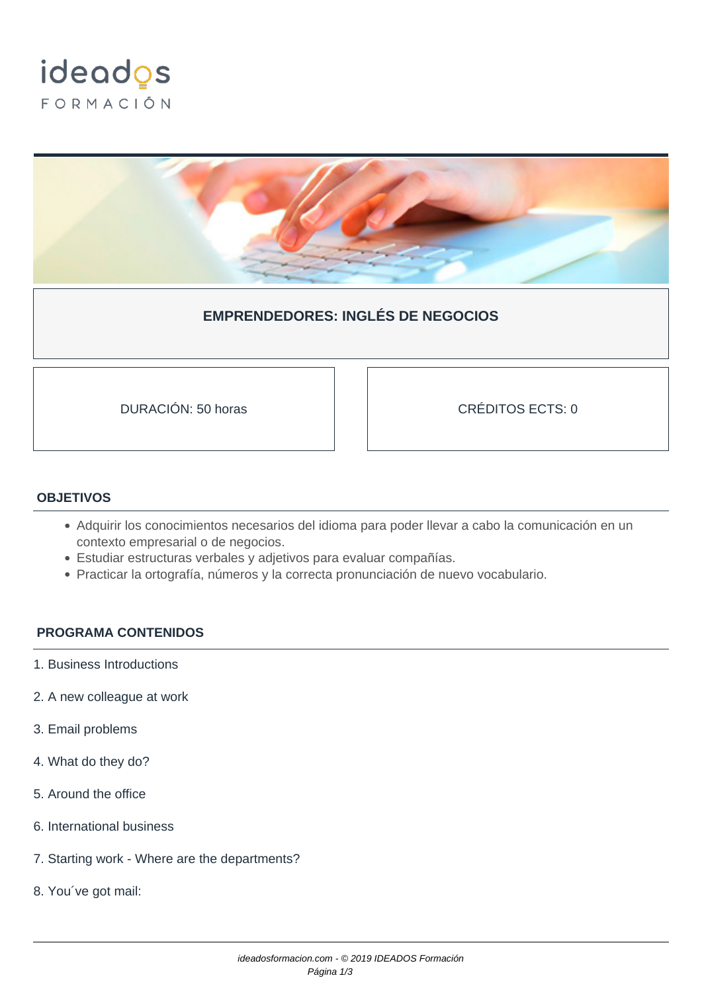



## **EMPRENDEDORES: INGLÉS DE NEGOCIOS**

DURACIÓN: 50 horas CRÉDITOS ECTS: 0

## **OBJETIVOS**

- Adquirir los conocimientos necesarios del idioma para poder llevar a cabo la comunicación en un contexto empresarial o de negocios.
- Estudiar estructuras verbales y adjetivos para evaluar compañías.
- Practicar la ortografía, números y la correcta pronunciación de nuevo vocabulario.

## **PROGRAMA CONTENIDOS**

- 1. Business Introductions
- 2. A new colleague at work
- 3. Email problems
- 4. What do they do?
- 5. Around the office
- 6. International business
- 7. Starting work Where are the departments?
- 8. You´ve got mail: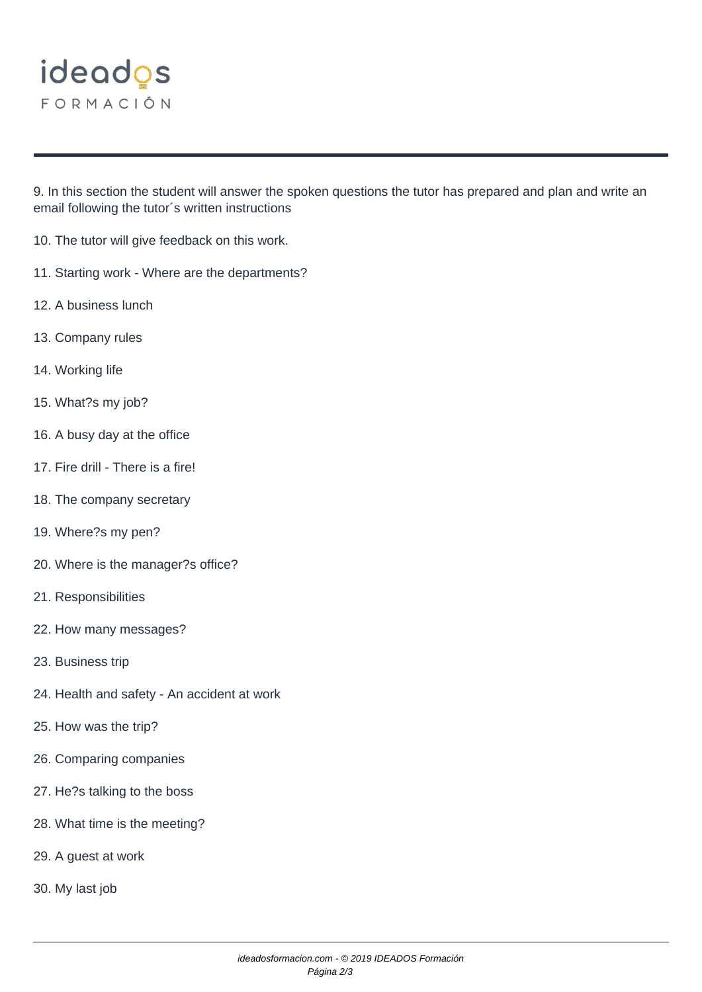

9. In this section the student will answer the spoken questions the tutor has prepared and plan and write an email following the tutor´s written instructions

- 10. The tutor will give feedback on this work.
- 11. Starting work Where are the departments?
- 12. A business lunch
- 13. Company rules
- 14. Working life
- 15. What?s my job?
- 16. A busy day at the office
- 17. Fire drill There is a fire!
- 18. The company secretary
- 19. Where?s my pen?
- 20. Where is the manager?s office?
- 21. Responsibilities
- 22. How many messages?
- 23. Business trip
- 24. Health and safety An accident at work
- 25. How was the trip?
- 26. Comparing companies
- 27. He?s talking to the boss
- 28. What time is the meeting?
- 29. A guest at work
- 30. My last job